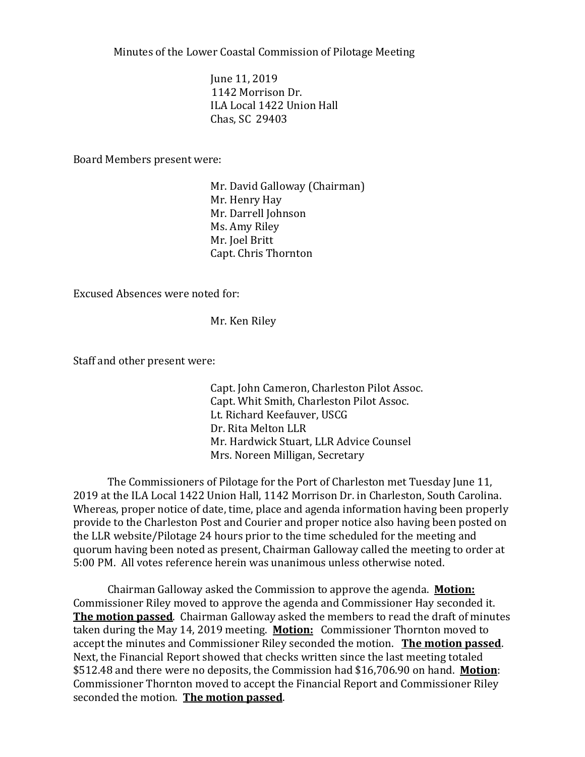Minutes of the Lower Coastal Commission of Pilotage Meeting

June 11, 2019 1142 Morrison Dr. ILA Local 1422 Union Hall Chas, SC 29403

Board Members present were:

Mr. David Galloway (Chairman) Mr. Henry Hay Mr. Darrell Johnson Ms. Amy Riley Mr. Joel Britt Capt. Chris Thornton

Excused Absences were noted for:

Mr. Ken Riley

Staff and other present were:

Capt. John Cameron, Charleston Pilot Assoc. Capt. Whit Smith, Charleston Pilot Assoc. Lt. Richard Keefauver, USCG Dr. Rita Melton LLR Mr. Hardwick Stuart, LLR Advice Counsel Mrs. Noreen Milligan, Secretary

The Commissioners of Pilotage for the Port of Charleston met Tuesday June 11, 2019 at the ILA Local 1422 Union Hall, 1142 Morrison Dr. in Charleston, South Carolina. Whereas, proper notice of date, time, place and agenda information having been properly provide to the Charleston Post and Courier and proper notice also having been posted on the LLR website/Pilotage 24 hours prior to the time scheduled for the meeting and quorum having been noted as present, Chairman Galloway called the meeting to order at 5:00 PM. All votes reference herein was unanimous unless otherwise noted.

Chairman Galloway asked the Commission to approve the agenda. **Motion:** Commissioner Riley moved to approve the agenda and Commissioner Hay seconded it. **The motion passed**. Chairman Galloway asked the members to read the draft of minutes taken during the May 14, 2019 meeting. **Motion:** Commissioner Thornton moved to accept the minutes and Commissioner Riley seconded the motion. **The motion passed**. Next, the Financial Report showed that checks written since the last meeting totaled \$512.48 and there were no deposits, the Commission had \$16,706.90 on hand. **Motion**: Commissioner Thornton moved to accept the Financial Report and Commissioner Riley seconded the motion. **The motion passed**.